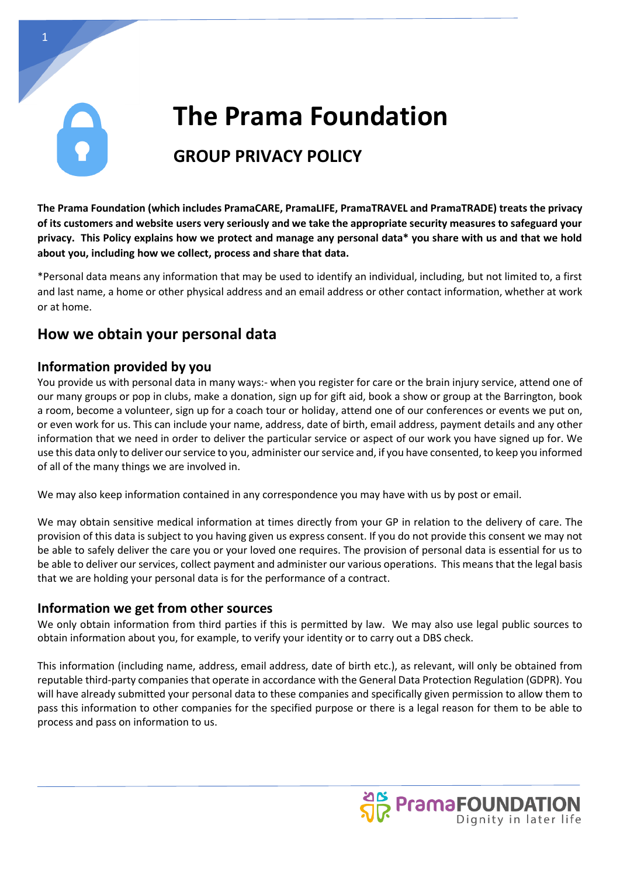# **The Prama Foundation**

# **GROUP PRIVACY POLICY**

**The Prama Foundation (which includes PramaCARE, PramaLIFE, PramaTRAVEL and PramaTRADE) treats the privacy of its customers and website users very seriously and we take the appropriate security measures to safeguard your privacy. This Policy explains how we protect and manage any personal data\* you share with us and that we hold about you, including how we collect, process and share that data.**

\*Personal data means any information that may be used to identify an individual, including, but not limited to, a first and last name, a home or other physical address and an email address or other contact information, whether at work or at home.

# **How we obtain your personal data**

### **Information provided by you**

You provide us with personal data in many ways:- when you register for care or the brain injury service, attend one of our many groups or pop in clubs, make a donation, sign up for gift aid, book a show or group at the Barrington, book a room, become a volunteer, sign up for a coach tour or holiday, attend one of our conferences or events we put on, or even work for us. This can include your name, address, date of birth, email address, payment details and any other information that we need in order to deliver the particular service or aspect of our work you have signed up for. We use this data only to deliver our service to you, administer our service and, if you have consented, to keep you informed of all of the many things we are involved in.

We may also keep information contained in any correspondence you may have with us by post or email.

We may obtain sensitive medical information at times directly from your GP in relation to the delivery of care. The provision of this data is subject to you having given us express consent. If you do not provide this consent we may not be able to safely deliver the care you or your loved one requires. The provision of personal data is essential for us to be able to deliver our services, collect payment and administer our various operations. This means that the legal basis that we are holding your personal data is for the performance of a contract.

#### **Information we get from other sources**

We only obtain information from third parties if this is permitted by law. We may also use legal public sources to obtain information about you, for example, to verify your identity or to carry out a DBS check.

This information (including name, address, email address, date of birth etc.), as relevant, will only be obtained from reputable third-party companies that operate in accordance with the General Data Protection Regulation (GDPR). You will have already submitted your personal data to these companies and specifically given permission to allow them to pass this information to other companies for the specified purpose or there is a legal reason for them to be able to process and pass on information to us.

PramaFOUNDATION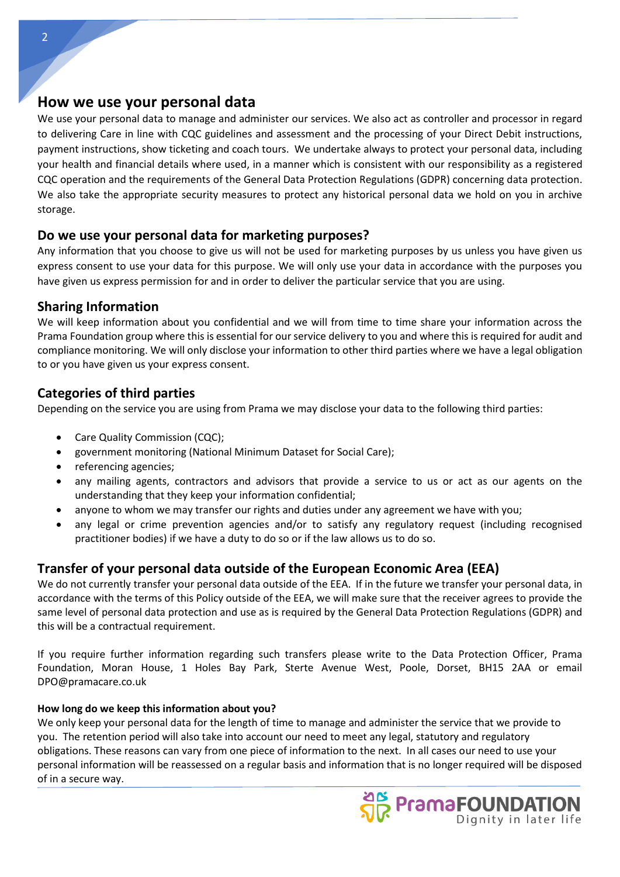#### **How we use your personal data**

We use your personal data to manage and administer our services. We also act as controller and processor in regard to delivering Care in line with CQC guidelines and assessment and the processing of your Direct Debit instructions, payment instructions, show ticketing and coach tours. We undertake always to protect your personal data, including your health and financial details where used, in a manner which is consistent with our responsibility as a registered CQC operation and the requirements of the General Data Protection Regulations (GDPR) concerning data protection. We also take the appropriate security measures to protect any historical personal data we hold on you in archive storage.

#### **Do we use your personal data for marketing purposes?**

Any information that you choose to give us will not be used for marketing purposes by us unless you have given us express consent to use your data for this purpose. We will only use your data in accordance with the purposes you have given us express permission for and in order to deliver the particular service that you are using.

#### **Sharing Information**

We will keep information about you confidential and we will from time to time share your information across the Prama Foundation group where this is essential for our service delivery to you and where this is required for audit and compliance monitoring. We will only disclose your information to other third parties where we have a legal obligation to or you have given us your express consent.

### **Categories of third parties**

Depending on the service you are using from Prama we may disclose your data to the following third parties:

- Care Quality Commission (CQC);
- government monitoring (National Minimum Dataset for Social Care);
- referencing agencies;
- any mailing agents, contractors and advisors that provide a service to us or act as our agents on the understanding that they keep your information confidential;
- anyone to whom we may transfer our rights and duties under any agreement we have with you;
- any legal or crime prevention agencies and/or to satisfy any regulatory request (including recognised practitioner bodies) if we have a duty to do so or if the law allows us to do so.

# **Transfer of your personal data outside of the European Economic Area (EEA)**

We do not currently transfer your personal data outside of the EEA. If in the future we transfer your personal data, in accordance with the terms of this Policy outside of the EEA, we will make sure that the receiver agrees to provide the same level of personal data protection and use as is required by the General Data Protection Regulations (GDPR) and this will be a contractual requirement.

If you require further information regarding such transfers please write to the Data Protection Officer, Prama Foundation, Moran House, 1 Holes Bay Park, Sterte Avenue West, Poole, Dorset, BH15 2AA or email [DPO@pramacare.co.uk](mailto:DPO@pramacare.co.uk)

#### **How long do we keep this information about you?**

We only keep your personal data for the length of time to manage and administer the service that we provide to you. The retention period will also take into account our need to meet any legal, statutory and regulatory obligations. These reasons can vary from one piece of information to the next. In all cases our need to use your personal information will be reassessed on a regular basis and information that is no longer required will be disposed of in a secure way.

2

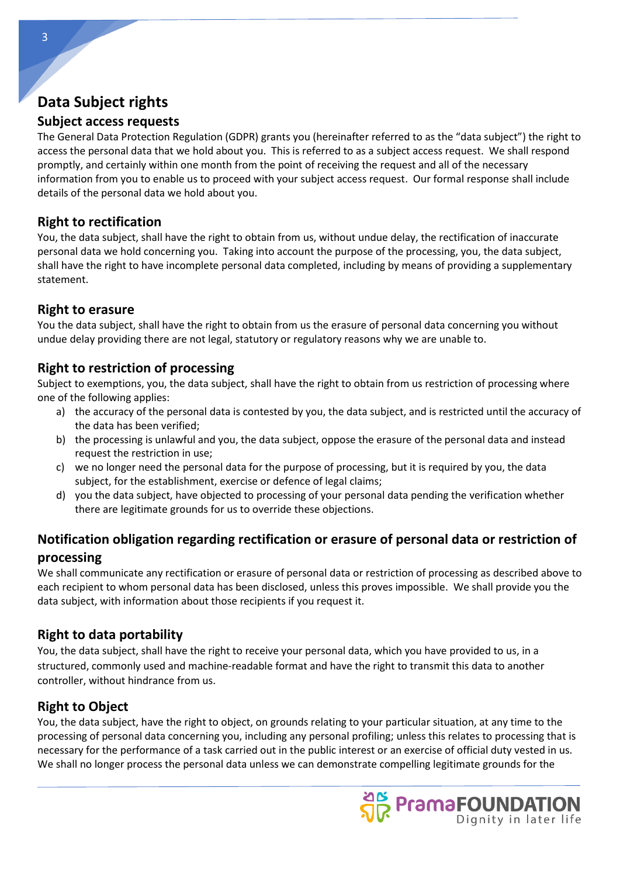# **Data Subject rights**

### **Subject access requests**

The General Data Protection Regulation (GDPR) grants you (hereinafter referred to as the "data subject") the right to access the personal data that we hold about you. This is referred to as a subject access request. We shall respond promptly, and certainly within one month from the point of receiving the request and all of the necessary information from you to enable us to proceed with your subject access request. Our formal response shall include details of the personal data we hold about you.

# **Right to rectification**

You, the data subject, shall have the right to obtain from us, without undue delay, the rectification of inaccurate personal data we hold concerning you. Taking into account the purpose of the processing, you, the data subject, shall have the right to have incomplete personal data completed, including by means of providing a supplementary statement.

### **Right to erasure**

You the data subject, shall have the right to obtain from us the erasure of personal data concerning you without undue delay providing there are not legal, statutory or regulatory reasons why we are unable to.

# **Right to restriction of processing**

Subject to exemptions, you, the data subject, shall have the right to obtain from us restriction of processing where one of the following applies:

- a) the accuracy of the personal data is contested by you, the data subject, and is restricted until the accuracy of the data has been verified;
- b) the processing is unlawful and you, the data subject, oppose the erasure of the personal data and instead request the restriction in use;
- c) we no longer need the personal data for the purpose of processing, but it is required by you, the data subject, for the establishment, exercise or defence of legal claims;
- d) you the data subject, have objected to processing of your personal data pending the verification whether there are legitimate grounds for us to override these objections.

# **Notification obligation regarding rectification or erasure of personal data or restriction of processing**

We shall communicate any rectification or erasure of personal data or restriction of processing as described above to each recipient to whom personal data has been disclosed, unless this proves impossible. We shall provide you the data subject, with information about those recipients if you request it.

# **Right to data portability**

You, the data subject, shall have the right to receive your personal data, which you have provided to us, in a structured, commonly used and machine-readable format and have the right to transmit this data to another controller, without hindrance from us.

# **Right to Object**

You, the data subject, have the right to object, on grounds relating to your particular situation, at any time to the processing of personal data concerning you, including any personal profiling; unless this relates to processing that is necessary for the performance of a task carried out in the public interest or an exercise of official duty vested in us. We shall no longer process the personal data unless we can demonstrate compelling legitimate grounds for the